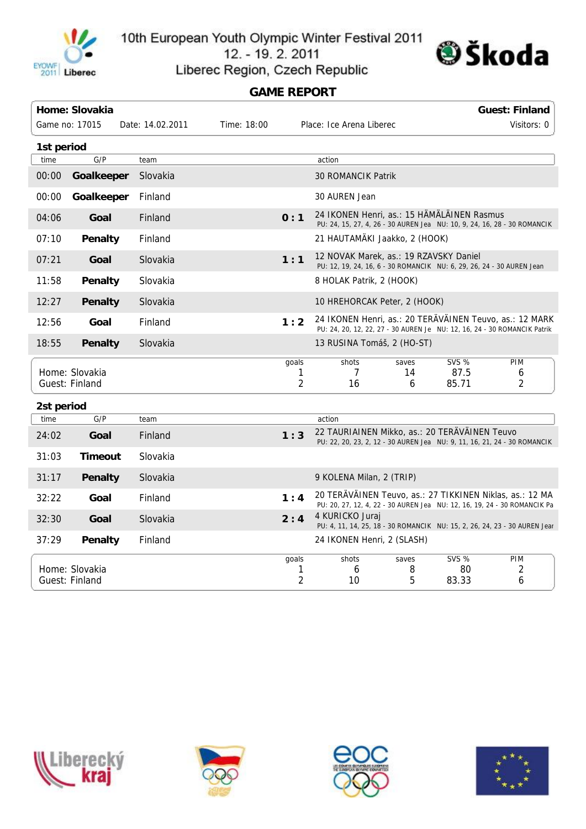

10th European Youth Olympic Winter Festival 2011 12. - 19. 2. 2011



Liberec Region, Czech Republic

## **GAME REPORT**

|                                  | Home: Slovakia |                  |             |                 |                                                                                                                        |                  |                               | <b>Guest: Finland</b>                                                    |  |  |
|----------------------------------|----------------|------------------|-------------|-----------------|------------------------------------------------------------------------------------------------------------------------|------------------|-------------------------------|--------------------------------------------------------------------------|--|--|
|                                  | Game no: 17015 | Date: 14.02.2011 | Time: 18:00 |                 | Place: Ice Arena Liberec                                                                                               |                  |                               | Visitors: 0                                                              |  |  |
| 1st period                       |                |                  |             |                 |                                                                                                                        |                  |                               |                                                                          |  |  |
| time                             | G/P            | team             |             |                 | action                                                                                                                 |                  |                               |                                                                          |  |  |
| 00:00                            | Goalkeeper     | Slovakia         |             |                 | <b>30 ROMANCIK Patrik</b>                                                                                              |                  |                               |                                                                          |  |  |
| 00:00                            | Goalkeeper     | Finland          |             |                 | 30 AUREN Jean                                                                                                          |                  |                               |                                                                          |  |  |
| 04:06                            | Goal           | Finland          |             | 0:1             | 24 IKONEN Henri, as.: 15 HÄMÄLÄINEN Rasmus<br>PU: 24, 15, 27, 4, 26 - 30 AUREN Jea NU: 10, 9, 24, 16, 28 - 30 ROMANCIK |                  |                               |                                                                          |  |  |
| 07:10                            | Penalty        | Finland          |             |                 | 21 HAUTAMÄKI Jaakko, 2 (HOOK)                                                                                          |                  |                               |                                                                          |  |  |
| 07:21                            | Goal           | Slovakia         |             | 1:1             | 12 NOVAK Marek, as.: 19 RZAVSKY Daniel<br>PU: 12, 19, 24, 16, 6 - 30 ROMANCIK NU: 6, 29, 26, 24 - 30 AUREN Jean        |                  |                               |                                                                          |  |  |
| 11:58                            | Penalty        | Slovakia         |             |                 | 8 HOLAK Patrik, 2 (HOOK)                                                                                               |                  |                               |                                                                          |  |  |
| 12:27                            | Penalty        | Slovakia         |             |                 | 10 HREHORCAK Peter, 2 (HOOK)                                                                                           |                  |                               |                                                                          |  |  |
| 12:56                            | Goal           | Finland          |             | 1:2             | 24 IKONEN Henri, as.: 20 TERAVAINEN Teuvo, as.: 12 MARK                                                                |                  |                               | PU: 24, 20, 12, 22, 27 - 30 AUREN Je NU: 12, 16, 24 - 30 ROMANCIK Patrik |  |  |
| 18:55                            | <b>Penalty</b> | Slovakia         |             |                 | 13 RUSINA Tomáš, 2 (HO-ST)                                                                                             |                  |                               |                                                                          |  |  |
| Home: Slovakia<br>Guest: Finland |                |                  |             | goals<br>1<br>2 | shots<br>7<br>16                                                                                                       | saves<br>14<br>6 | <b>SVS %</b><br>87.5<br>85.71 | PIM<br>6<br>2                                                            |  |  |
| 2st period                       |                |                  |             |                 |                                                                                                                        |                  |                               |                                                                          |  |  |
| time                             | G/P            | team             |             |                 | action                                                                                                                 |                  |                               |                                                                          |  |  |
| 24:02                            | Goal           | Finland          |             | 1:3             | 22 TAURIAINEN Mikko, as.: 20 TERÄVÄINEN Teuvo                                                                          |                  |                               | PU: 22, 20, 23, 2, 12 - 30 AUREN Jea NU: 9, 11, 16, 21, 24 - 30 ROMANCIK |  |  |
| 31:03                            | <b>Timeout</b> | Slovakia         |             |                 |                                                                                                                        |                  |                               |                                                                          |  |  |
| 31:17                            | <b>Penalty</b> | Slovakia         |             |                 | 9 KOLENA Milan, 2 (TRIP)                                                                                               |                  |                               |                                                                          |  |  |
| 32:22                            | Goal           | Finland          |             | 1:4             | 20 TERAVAINEN Teuvo, as.: 27 TIKKINEN Niklas, as.: 12 MA                                                               |                  |                               | PU: 20, 27, 12, 4, 22 - 30 AUREN Jea NU: 12, 16, 19, 24 - 30 ROMANCIK Pa |  |  |
| 32:30                            | Goal           | Slovakia         |             | 2:4             | 4 KURICKO Juraj<br>PU: 4, 11, 14, 25, 18 - 30 ROMANCIK NU: 15, 2, 26, 24, 23 - 30 AUREN Jear                           |                  |                               |                                                                          |  |  |
| 37:29                            | Penalty        | Finland          |             |                 | 24 IKONEN Henri, 2 (SLASH)                                                                                             |                  |                               |                                                                          |  |  |
| Home: Slovakia<br>Guest: Finland |                |                  |             | goals<br>1<br>2 | shots<br>6<br>10                                                                                                       | saves<br>8<br>5  | <b>SVS %</b><br>80<br>83.33   | <b>PIM</b><br>2<br>6                                                     |  |  |